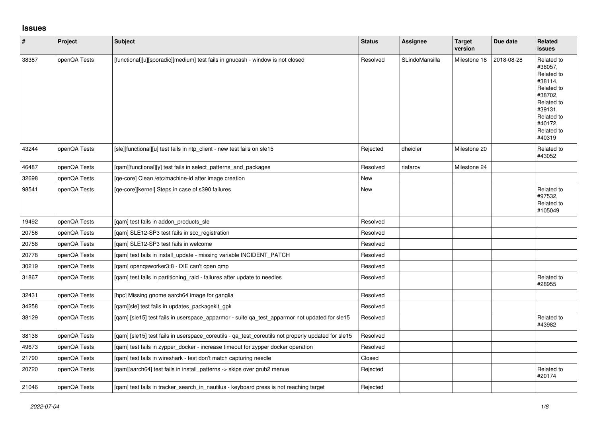## **Issues**

| $\vert$ # | Project      | <b>Subject</b>                                                                                     | <b>Status</b> | Assignee       | <b>Target</b><br>version | Due date   | Related<br><b>issues</b>                                                                                                                          |
|-----------|--------------|----------------------------------------------------------------------------------------------------|---------------|----------------|--------------------------|------------|---------------------------------------------------------------------------------------------------------------------------------------------------|
| 38387     | openQA Tests | [functional][u][sporadic][medium] test fails in gnucash - window is not closed                     | Resolved      | SLindoMansilla | Milestone 18             | 2018-08-28 | Related to<br>#38057.<br>Related to<br>#38114,<br>Related to<br>#38702.<br>Related to<br>#39131,<br>Related to<br>#40172.<br>Related to<br>#40319 |
| 43244     | openQA Tests | [sle][functional][u] test fails in ntp_client - new test fails on sle15                            | Rejected      | dheidler       | Milestone 20             |            | Related to<br>#43052                                                                                                                              |
| 46487     | openQA Tests | [gam][functional][y] test fails in select patterns and packages                                    | Resolved      | riafarov       | Milestone 24             |            |                                                                                                                                                   |
| 32698     | openQA Tests | [ge-core] Clean /etc/machine-id after image creation                                               | New           |                |                          |            |                                                                                                                                                   |
| 98541     | openQA Tests | [qe-core][kernel] Steps in case of s390 failures                                                   | <b>New</b>    |                |                          |            | Related to<br>#97532,<br>Related to<br>#105049                                                                                                    |
| 19492     | openQA Tests | [qam] test fails in addon_products_sle                                                             | Resolved      |                |                          |            |                                                                                                                                                   |
| 20756     | openQA Tests | [qam] SLE12-SP3 test fails in scc_registration                                                     | Resolved      |                |                          |            |                                                                                                                                                   |
| 20758     | openQA Tests | [qam] SLE12-SP3 test fails in welcome                                                              | Resolved      |                |                          |            |                                                                                                                                                   |
| 20778     | openQA Tests | [qam] test fails in install_update - missing variable INCIDENT_PATCH                               | Resolved      |                |                          |            |                                                                                                                                                   |
| 30219     | openQA Tests | [qam] openqaworker3:8 - DIE can't open qmp                                                         | Resolved      |                |                          |            |                                                                                                                                                   |
| 31867     | openQA Tests | [qam] test fails in partitioning_raid - failures after update to needles                           | Resolved      |                |                          |            | Related to<br>#28955                                                                                                                              |
| 32431     | openQA Tests | [hpc] Missing gnome aarch64 image for ganglia                                                      | Resolved      |                |                          |            |                                                                                                                                                   |
| 34258     | openQA Tests | [gam][sle] test fails in updates packagekit gpk                                                    | Resolved      |                |                          |            |                                                                                                                                                   |
| 38129     | openQA Tests | [qam] [sle15] test fails in userspace apparmor - suite qa_test_apparmor not updated for sle15      | Resolved      |                |                          |            | Related to<br>#43982                                                                                                                              |
| 38138     | openQA Tests | [qam] [sle15] test fails in userspace_coreutils - qa_test_coreutils not properly updated for sle15 | Resolved      |                |                          |            |                                                                                                                                                   |
| 49673     | openQA Tests | [qam] test fails in zypper_docker - increase timeout for zypper docker operation                   | Resolved      |                |                          |            |                                                                                                                                                   |
| 21790     | openQA Tests | [qam] test fails in wireshark - test don't match capturing needle                                  | Closed        |                |                          |            |                                                                                                                                                   |
| 20720     | openQA Tests | [qam][aarch64] test fails in install_patterns -> skips over grub2 menue                            | Rejected      |                |                          |            | Related to<br>#20174                                                                                                                              |
| 21046     | openQA Tests | [gam] test fails in tracker search in nautilus - keyboard press is not reaching target             | Rejected      |                |                          |            |                                                                                                                                                   |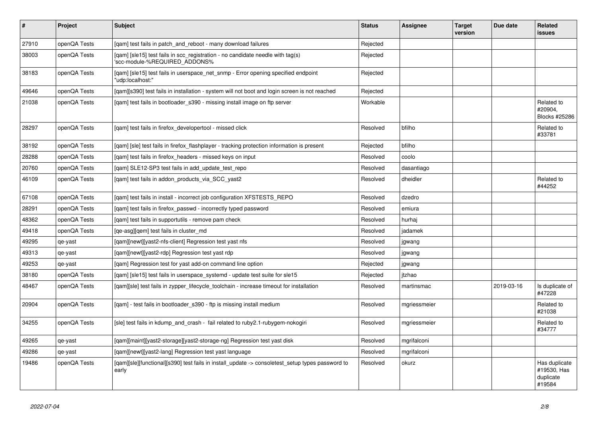| $\vert$ # | Project      | <b>Subject</b>                                                                                                  | <b>Status</b> | <b>Assignee</b> | <b>Target</b><br>version | Due date   | <b>Related</b><br><b>issues</b>                     |
|-----------|--------------|-----------------------------------------------------------------------------------------------------------------|---------------|-----------------|--------------------------|------------|-----------------------------------------------------|
| 27910     | openQA Tests | [gam] test fails in patch and reboot - many download failures                                                   | Rejected      |                 |                          |            |                                                     |
| 38003     | openQA Tests | [gam] [sle15] test fails in scc registration - no candidate needle with tag(s)<br>'scc-module-%REQUIRED ADDONS% | Rejected      |                 |                          |            |                                                     |
| 38183     | openQA Tests | [gam] [sle15] test fails in userspace net snmp - Error opening specified endpoint<br>'udp:localhost:"           | Rejected      |                 |                          |            |                                                     |
| 49646     | openQA Tests | [gam][s390] test fails in installation - system will not boot and login screen is not reached                   | Rejected      |                 |                          |            |                                                     |
| 21038     | openQA Tests | [gam] test fails in bootloader s390 - missing install image on ftp server                                       | Workable      |                 |                          |            | Related to<br>#20904,<br>Blocks #25286              |
| 28297     | openQA Tests | [gam] test fails in firefox developertool - missed click                                                        | Resolved      | bfilho          |                          |            | Related to<br>#33781                                |
| 38192     | openQA Tests | [gam] [sle] test fails in firefox flashplayer - tracking protection information is present                      | Rejected      | bfilho          |                          |            |                                                     |
| 28288     | openQA Tests | [gam] test fails in firefox headers - missed keys on input                                                      | Resolved      | coolo           |                          |            |                                                     |
| 20760     | openQA Tests | [gam] SLE12-SP3 test fails in add update test repo                                                              | Resolved      | dasantiago      |                          |            |                                                     |
| 46109     | openQA Tests | [qam] test fails in addon_products_via_SCC_yast2                                                                | Resolved      | dheidler        |                          |            | Related to<br>#44252                                |
| 67108     | openQA Tests | [gam] test fails in install - incorrect job configuration XFSTESTS REPO                                         | Resolved      | dzedro          |                          |            |                                                     |
| 28291     | openQA Tests | [gam] test fails in firefox passwd - incorrectly typed password                                                 | Resolved      | emiura          |                          |            |                                                     |
| 48362     | openQA Tests | [qam] test fails in supportutils - remove pam check                                                             | Resolved      | hurhaj          |                          |            |                                                     |
| 49418     | openQA Tests | [ge-asg][gem] test fails in cluster md                                                                          | Resolved      | jadamek         |                          |            |                                                     |
| 49295     | qe-yast      | [gam][newt][yast2-nfs-client] Regression test yast nfs                                                          | Resolved      | jgwang          |                          |            |                                                     |
| 49313     | qe-yast      | [gam][newt][yast2-rdp] Regression test yast rdp                                                                 | Resolved      | jgwang          |                          |            |                                                     |
| 49253     | qe-yast      | [gam] Regression test for yast add-on command line option                                                       | Rejected      | jgwang          |                          |            |                                                     |
| 38180     | openQA Tests | [qam] [sle15] test fails in userspace_systemd - update test suite for sle15                                     | Rejected      | jtzhao          |                          |            |                                                     |
| 48467     | openQA Tests | [gam][sle] test fails in zypper lifecycle toolchain - increase timeout for installation                         | Resolved      | martinsmac      |                          | 2019-03-16 | Is duplicate of<br>#47228                           |
| 20904     | openQA Tests | [qam] - test fails in bootloader_s390 - ftp is missing install medium                                           | Resolved      | mgriessmeier    |                          |            | Related to<br>#21038                                |
| 34255     | openQA Tests | [sle] test fails in kdump and crash - fail related to ruby2.1-rubygem-nokogiri                                  | Resolved      | mgriessmeier    |                          |            | Related to<br>#34777                                |
| 49265     | qe-yast      | [qam][maint][yast2-storage][yast2-storage-ng] Regression test yast disk                                         | Resolved      | mgrifalconi     |                          |            |                                                     |
| 49286     | qe-yast      | [qam][newt][yast2-lang] Regression test yast language                                                           | Resolved      | mgrifalconi     |                          |            |                                                     |
| 19486     | openQA Tests | [gam][sle][functional][s390] test fails in install update -> consoletest setup types password to<br>early       | Resolved      | okurz           |                          |            | Has duplicate<br>#19530, Has<br>duplicate<br>#19584 |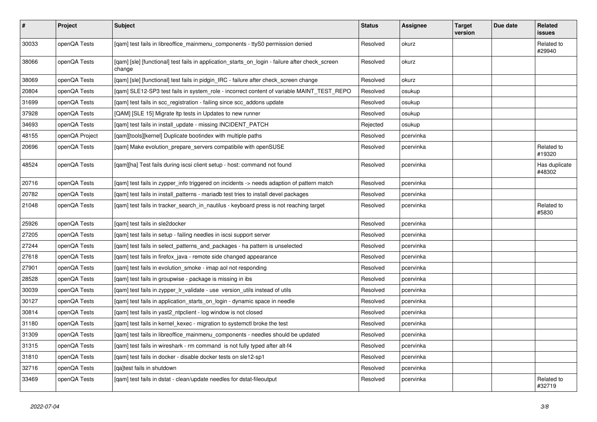| $\vert$ # | Project        | <b>Subject</b>                                                                                            | <b>Status</b> | Assignee  | <b>Target</b><br>version | Due date | Related<br><b>issues</b> |
|-----------|----------------|-----------------------------------------------------------------------------------------------------------|---------------|-----------|--------------------------|----------|--------------------------|
| 30033     | openQA Tests   | [qam] test fails in libreoffice_mainmenu_components - ttyS0 permission denied                             | Resolved      | okurz     |                          |          | Related to<br>#29940     |
| 38066     | openQA Tests   | [qam] [sle] [functional] test fails in application_starts_on_login - failure after check_screen<br>change | Resolved      | okurz     |                          |          |                          |
| 38069     | openQA Tests   | [gam] [sle] [functional] test fails in pidgin IRC - failure after check screen change                     | Resolved      | okurz     |                          |          |                          |
| 20804     | openQA Tests   | [gam] SLE12-SP3 test fails in system role - incorrect content of variable MAINT TEST REPO                 | Resolved      | osukup    |                          |          |                          |
| 31699     | openQA Tests   | [qam] test fails in scc_registration - failing since scc_addons update                                    | Resolved      | osukup    |                          |          |                          |
| 37928     | openQA Tests   | [QAM] [SLE 15] Migrate Itp tests in Updates to new runner                                                 | Resolved      | osukup    |                          |          |                          |
| 34693     | openQA Tests   | [qam] test fails in install_update - missing INCIDENT_PATCH                                               | Rejected      | osukup    |                          |          |                          |
| 48155     | openQA Project | [gam][tools][kernel] Duplicate bootindex with multiple paths                                              | Resolved      | pcervinka |                          |          |                          |
| 20696     | openQA Tests   | [gam] Make evolution prepare servers compatibile with openSUSE                                            | Resolved      | pcervinka |                          |          | Related to<br>#19320     |
| 48524     | openQA Tests   | [qam][ha] Test fails during iscsi client setup - host: command not found                                  | Resolved      | pcervinka |                          |          | Has duplicate<br>#48302  |
| 20716     | openQA Tests   | [gam] test fails in zypper info triggered on incidents -> needs adaption of pattern match                 | Resolved      | pcervinka |                          |          |                          |
| 20782     | openQA Tests   | [gam] test fails in install patterns - mariadb test tries to install devel packages                       | Resolved      | pcervinka |                          |          |                          |
| 21048     | openQA Tests   | [gam] test fails in tracker search in nautilus - keyboard press is not reaching target                    | Resolved      | pcervinka |                          |          | Related to<br>#5830      |
| 25926     | openQA Tests   | [qam] test fails in sle2docker                                                                            | Resolved      | pcervinka |                          |          |                          |
| 27205     | openQA Tests   | [gam] test fails in setup - failing needles in iscsi support server                                       | Resolved      | pcervinka |                          |          |                          |
| 27244     | openQA Tests   | [gam] test fails in select patterns and packages - ha pattern is unselected                               | Resolved      | pcervinka |                          |          |                          |
| 27618     | openQA Tests   | [gam] test fails in firefox java - remote side changed appearance                                         | Resolved      | pcervinka |                          |          |                          |
| 27901     | openQA Tests   | [qam] test fails in evolution_smoke - imap aol not responding                                             | Resolved      | pcervinka |                          |          |                          |
| 28528     | openQA Tests   | [qam] test fails in groupwise - package is missing in ibs                                                 | Resolved      | pcervinka |                          |          |                          |
| 30039     | openQA Tests   | [qam] test fails in zypper_lr_validate - use version_utils instead of utils                               | Resolved      | pcervinka |                          |          |                          |
| 30127     | openQA Tests   | [gam] test fails in application starts on login - dynamic space in needle                                 | Resolved      | pcervinka |                          |          |                          |
| 30814     | openQA Tests   | [gam] test fails in yast2 ntpclient - log window is not closed                                            | Resolved      | pcervinka |                          |          |                          |
| 31180     | openQA Tests   | [gam] test fails in kernel kexec - migration to systemctl broke the test                                  | Resolved      | pcervinka |                          |          |                          |
| 31309     | openQA Tests   | [gam] test fails in libreoffice mainmenu components - needles should be updated                           | Resolved      | pcervinka |                          |          |                          |
| 31315     | openQA Tests   | [qam] test fails in wireshark - rm command is not fully typed after alt-f4                                | Resolved      | pcervinka |                          |          |                          |
| 31810     | openQA Tests   | [qam] test fails in docker - disable docker tests on sle12-sp1                                            | Resolved      | pcervinka |                          |          |                          |
| 32716     | openQA Tests   | lgaltest fails in shutdown                                                                                | Resolved      | pcervinka |                          |          |                          |
| 33469     | openQA Tests   | [gam] test fails in dstat - clean/update needles for dstat-fileoutput                                     | Resolved      | pcervinka |                          |          | Related to<br>#32719     |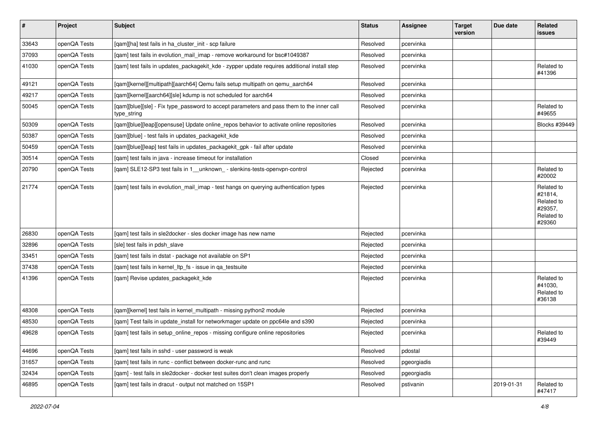| $\vert$ # | Project      | <b>Subject</b>                                                                                           | <b>Status</b> | <b>Assignee</b> | <b>Target</b><br>version | Due date   | Related<br>issues                                                      |
|-----------|--------------|----------------------------------------------------------------------------------------------------------|---------------|-----------------|--------------------------|------------|------------------------------------------------------------------------|
| 33643     | openQA Tests | [qam][ha] test fails in ha_cluster_init - scp failure                                                    | Resolved      | pcervinka       |                          |            |                                                                        |
| 37093     | openQA Tests | [qam] test fails in evolution_mail_imap - remove workaround for bsc#1049387                              | Resolved      | pcervinka       |                          |            |                                                                        |
| 41030     | openQA Tests | [qam] test fails in updates_packagekit_kde - zypper update requires additional install step              | Resolved      | pcervinka       |                          |            | Related to<br>#41396                                                   |
| 49121     | openQA Tests | [qam][kernel][multipath][aarch64] Qemu fails setup multipath on qemu_aarch64                             | Resolved      | pcervinka       |                          |            |                                                                        |
| 49217     | openQA Tests | [qam][kernel][aarch64][sle] kdump is not scheduled for aarch64                                           | Resolved      | pcervinka       |                          |            |                                                                        |
| 50045     | openQA Tests | [qam][blue][sle] - Fix type_password to accept parameters and pass them to the inner call<br>type_string | Resolved      | pcervinka       |                          |            | Related to<br>#49655                                                   |
| 50309     | openQA Tests | [qam][blue][leap][opensuse] Update online_repos behavior to activate online repositories                 | Resolved      | pcervinka       |                          |            | Blocks #39449                                                          |
| 50387     | openQA Tests | [qam][blue] - test fails in updates_packagekit_kde                                                       | Resolved      | pcervinka       |                          |            |                                                                        |
| 50459     | openQA Tests | [qam][blue][leap] test fails in updates_packagekit_gpk - fail after update                               | Resolved      | pcervinka       |                          |            |                                                                        |
| 30514     | openQA Tests | [qam] test fails in java - increase timeout for installation                                             | Closed        | pcervinka       |                          |            |                                                                        |
| 20790     | openQA Tests | [qam] SLE12-SP3 test fails in 1__unknown_ - slenkins-tests-openvpn-control                               | Rejected      | pcervinka       |                          |            | Related to<br>#20002                                                   |
| 21774     | openQA Tests | [qam] test fails in evolution_mail_imap - test hangs on querying authentication types                    | Rejected      | pcervinka       |                          |            | Related to<br>#21814,<br>Related to<br>#29357,<br>Related to<br>#29360 |
| 26830     | openQA Tests | [qam] test fails in sle2docker - sles docker image has new name                                          | Rejected      | pcervinka       |                          |            |                                                                        |
| 32896     | openQA Tests | [sle] test fails in pdsh slave                                                                           | Rejected      | pcervinka       |                          |            |                                                                        |
| 33451     | openQA Tests | [qam] test fails in dstat - package not available on SP1                                                 | Rejected      | pcervinka       |                          |            |                                                                        |
| 37438     | openQA Tests | [qam] test fails in kernel_ltp_fs - issue in qa_testsuite                                                | Rejected      | pcervinka       |                          |            |                                                                        |
| 41396     | openQA Tests | [qam] Revise updates_packagekit_kde                                                                      | Rejected      | pcervinka       |                          |            | Related to<br>#41030,<br>Related to<br>#36138                          |
| 48308     | openQA Tests | [qam][kernel] test fails in kernel_multipath - missing python2 module                                    | Rejected      | pcervinka       |                          |            |                                                                        |
| 48530     | openQA Tests | [qam] Test fails in update_install for networkmager update on ppc64le and s390                           | Rejected      | pcervinka       |                          |            |                                                                        |
| 49628     | openQA Tests | [qam] test fails in setup_online_repos - missing configure online repositories                           | Rejected      | pcervinka       |                          |            | Related to<br>#39449                                                   |
| 44696     | openQA Tests | [qam] test fails in sshd - user password is weak                                                         | Resolved      | pdostal         |                          |            |                                                                        |
| 31657     | openQA Tests | [gam] test fails in runc - conflict between docker-runc and runc                                         | Resolved      | pgeorgiadis     |                          |            |                                                                        |
| 32434     | openQA Tests | [qam] - test fails in sle2docker - docker test suites don't clean images properly                        | Resolved      | pgeorgiadis     |                          |            |                                                                        |
| 46895     | openQA Tests | [qam] test fails in dracut - output not matched on 15SP1                                                 | Resolved      | pstivanin       |                          | 2019-01-31 | Related to<br>#47417                                                   |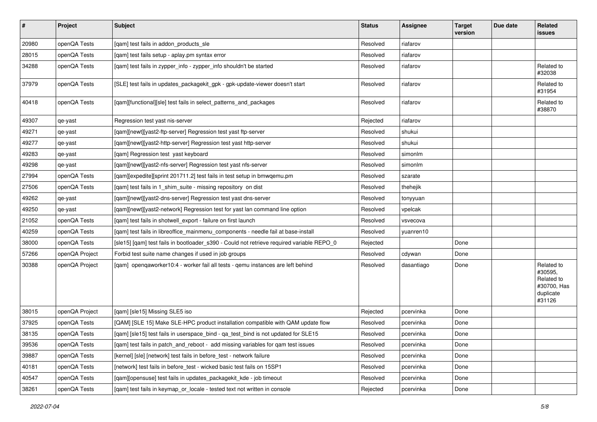| $\vert$ # | Project        | <b>Subject</b>                                                                            | <b>Status</b> | <b>Assignee</b> | <b>Target</b><br>version | Due date | Related<br>issues                                                         |
|-----------|----------------|-------------------------------------------------------------------------------------------|---------------|-----------------|--------------------------|----------|---------------------------------------------------------------------------|
| 20980     | openQA Tests   | [qam] test fails in addon_products_sle                                                    | Resolved      | riafarov        |                          |          |                                                                           |
| 28015     | openQA Tests   | [qam] test fails setup - aplay.pm syntax error                                            | Resolved      | riafarov        |                          |          |                                                                           |
| 34288     | openQA Tests   | [qam] test fails in zypper_info - zypper_info shouldn't be started                        | Resolved      | riafarov        |                          |          | Related to<br>#32038                                                      |
| 37979     | openQA Tests   | [SLE] test fails in updates_packagekit_gpk - gpk-update-viewer doesn't start              | Resolved      | riafarov        |                          |          | Related to<br>#31954                                                      |
| 40418     | openQA Tests   | [qam][functional][sle] test fails in select_patterns_and_packages                         | Resolved      | riafarov        |                          |          | Related to<br>#38870                                                      |
| 49307     | qe-yast        | Regression test yast nis-server                                                           | Rejected      | riafarov        |                          |          |                                                                           |
| 49271     | qe-yast        | [gam][newt][yast2-ftp-server] Regression test yast ftp-server                             | Resolved      | shukui          |                          |          |                                                                           |
| 49277     | qe-yast        | [qam][newt][yast2-http-server] Regression test yast http-server                           | Resolved      | shukui          |                          |          |                                                                           |
| 49283     | qe-yast        | [qam] Regression test yast keyboard                                                       | Resolved      | simonlm         |                          |          |                                                                           |
| 49298     | qe-yast        | [qam][newt][yast2-nfs-server] Regression test yast nfs-server                             | Resolved      | simonlm         |                          |          |                                                                           |
| 27994     | openQA Tests   | [qam][expedite][sprint 201711.2] test fails in test setup in bmwqemu.pm                   | Resolved      | szarate         |                          |          |                                                                           |
| 27506     | openQA Tests   | [gam] test fails in 1 shim suite - missing repository on dist                             | Resolved      | thehejik        |                          |          |                                                                           |
| 49262     | qe-yast        | [qam][newt][yast2-dns-server] Regression test yast dns-server                             | Resolved      | tonyyuan        |                          |          |                                                                           |
| 49250     | qe-yast        | [qam][newt][yast2-network] Regression test for yast lan command line option               | Resolved      | vpelcak         |                          |          |                                                                           |
| 21052     | openQA Tests   | [qam] test fails in shotwell_export - failure on first launch                             | Resolved      | vsvecova        |                          |          |                                                                           |
| 40259     | openQA Tests   | [qam] test fails in libreoffice_mainmenu_components - needle fail at base-install         | Resolved      | yuanren10       |                          |          |                                                                           |
| 38000     | openQA Tests   | [sle15] [gam] test fails in bootloader_s390 - Could not retrieve required variable REPO_0 | Rejected      |                 | Done                     |          |                                                                           |
| 57266     | openQA Project | Forbid test suite name changes if used in job groups                                      | Resolved      | cdywan          | Done                     |          |                                                                           |
| 30388     | openQA Project | [qam] openqaworker10:4 - worker fail all tests - qemu instances are left behind           | Resolved      | dasantiago      | Done                     |          | Related to<br>#30595,<br>Related to<br>#30700, Has<br>duplicate<br>#31126 |
| 38015     | openQA Project | [qam] [sle15] Missing SLE5 iso                                                            | Rejected      | pcervinka       | Done                     |          |                                                                           |
| 37925     | openQA Tests   | [QAM] [SLE 15] Make SLE-HPC product installation compatible with QAM update flow          | Resolved      | pcervinka       | Done                     |          |                                                                           |
| 38135     | openQA Tests   | [qam] [sle15] test fails in userspace_bind - qa_test_bind is not updated for SLE15        | Resolved      | pcervinka       | Done                     |          |                                                                           |
| 39536     | openQA Tests   | [gam] test fails in patch and reboot - add missing variables for gam test issues          | Resolved      | pcervinka       | Done                     |          |                                                                           |
| 39887     | openQA Tests   | [kernel] [sle] [network] test fails in before test - network failure                      | Resolved      | pcervinka       | Done                     |          |                                                                           |
| 40181     | openQA Tests   | [network] test fails in before_test - wicked basic test fails on 15SP1                    | Resolved      | pcervinka       | Done                     |          |                                                                           |
| 40547     | openQA Tests   | [qam][opensuse] test fails in updates_packagekit_kde - job timeout                        | Resolved      | pcervinka       | Done                     |          |                                                                           |
| 38261     | openQA Tests   | [qam] test fails in keymap_or_locale - tested text not written in console                 | Rejected      | pcervinka       | Done                     |          |                                                                           |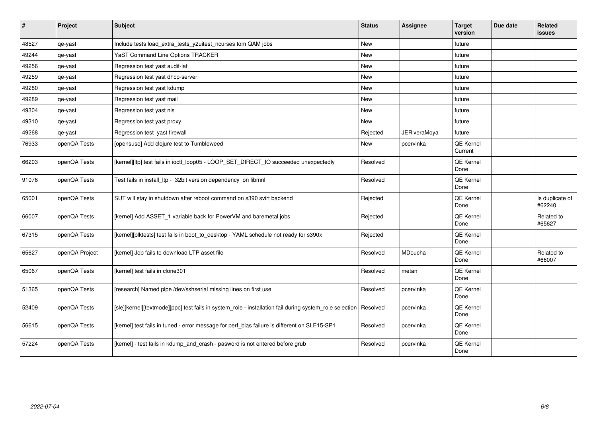| #     | Project        | <b>Subject</b>                                                                                          | <b>Status</b> | <b>Assignee</b>     | <b>Target</b><br>version | Due date | <b>Related</b><br>issues  |
|-------|----------------|---------------------------------------------------------------------------------------------------------|---------------|---------------------|--------------------------|----------|---------------------------|
| 48527 | qe-yast        | Include tests load_extra_tests_y2uitest_ncurses tom QAM jobs                                            | <b>New</b>    |                     | future                   |          |                           |
| 49244 | qe-yast        | YaST Command Line Options TRACKER                                                                       | New           |                     | future                   |          |                           |
| 49256 | qe-yast        | Regression test yast audit-laf                                                                          | New           |                     | future                   |          |                           |
| 49259 | qe-yast        | Regression test yast dhcp-server                                                                        | <b>New</b>    |                     | future                   |          |                           |
| 49280 | qe-yast        | Regression test yast kdump                                                                              | New           |                     | future                   |          |                           |
| 49289 | qe-yast        | Regression test yast mail                                                                               | New           |                     | future                   |          |                           |
| 49304 | qe-yast        | Regression test yast nis                                                                                | New           |                     | future                   |          |                           |
| 49310 | qe-yast        | Regression test yast proxy                                                                              | New           |                     | future                   |          |                           |
| 49268 | qe-yast        | Regression test yast firewall                                                                           | Rejected      | <b>JERiveraMoya</b> | future                   |          |                           |
| 76933 | openQA Tests   | [opensuse] Add clojure test to Tumbleweed                                                               | New           | pcervinka           | QE Kernel<br>Current     |          |                           |
| 66203 | openQA Tests   | [kernel][ltp] test fails in ioctl_loop05 - LOOP_SET_DIRECT_IO succeeded unexpectedly                    | Resolved      |                     | QE Kernel<br>Done        |          |                           |
| 91076 | openQA Tests   | Test fails in install_ltp - 32bit version dependency on libmnl                                          | Resolved      |                     | QE Kernel<br>Done        |          |                           |
| 65001 | openQA Tests   | SUT will stay in shutdown after reboot command on s390 svirt backend                                    | Rejected      |                     | QE Kernel<br>Done        |          | Is duplicate of<br>#62240 |
| 66007 | openQA Tests   | [kernel] Add ASSET_1 variable back for PowerVM and baremetal jobs                                       | Rejected      |                     | QE Kernel<br>Done        |          | Related to<br>#65627      |
| 67315 | openQA Tests   | [kernel][blktests] test fails in boot_to_desktop - YAML schedule not ready for s390x                    | Rejected      |                     | QE Kernel<br>Done        |          |                           |
| 65627 | openQA Project | [kernel] Job fails to download LTP asset file                                                           | Resolved      | MDoucha             | QE Kernel<br>Done        |          | Related to<br>#66007      |
| 65067 | openQA Tests   | [kernel] test fails in clone301                                                                         | Resolved      | metan               | QE Kernel<br>Done        |          |                           |
| 51365 | openQA Tests   | [research] Named pipe /dev/sshserial missing lines on first use                                         | Resolved      | pcervinka           | QE Kernel<br>Done        |          |                           |
| 52409 | openQA Tests   | [sle][kernel][textmode][ppc] test fails in system_role - installation fail during system_role selection | Resolved      | pcervinka           | QE Kernel<br>Done        |          |                           |
| 56615 | openQA Tests   | [kernel] test fails in tuned - error message for perf_bias failure is different on SLE15-SP1            | Resolved      | pcervinka           | QE Kernel<br>Done        |          |                           |
| 57224 | openQA Tests   | [kernel] - test fails in kdump_and_crash - pasword is not entered before grub                           | Resolved      | pcervinka           | QE Kernel<br>Done        |          |                           |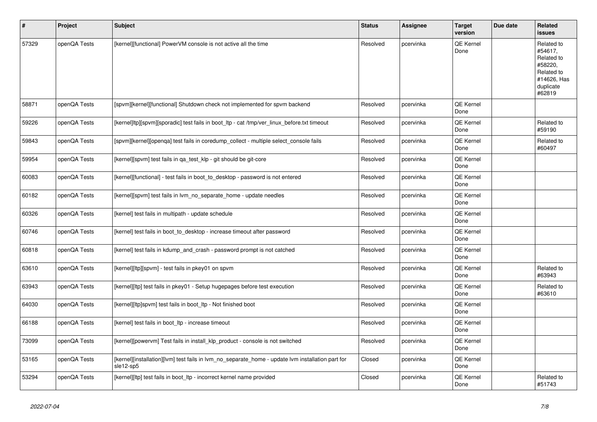| #     | Project      | <b>Subject</b>                                                                                                 | <b>Status</b> | Assignee  | <b>Target</b><br>version | Due date | Related<br>issues                                                                                  |
|-------|--------------|----------------------------------------------------------------------------------------------------------------|---------------|-----------|--------------------------|----------|----------------------------------------------------------------------------------------------------|
| 57329 | openQA Tests | [kernel][functional] PowerVM console is not active all the time                                                | Resolved      | pcervinka | QE Kernel<br>Done        |          | Related to<br>#54617.<br>Related to<br>#58220,<br>Related to<br>#14626, Has<br>duplicate<br>#62819 |
| 58871 | openQA Tests | [spvm][kernel][functional] Shutdown check not implemented for spvm backend                                     | Resolved      | pcervinka | QE Kernel<br>Done        |          |                                                                                                    |
| 59226 | openQA Tests | [kernel]ltp][spvm][sporadic] test fails in boot ltp - cat /tmp/ver linux before.txt timeout                    | Resolved      | pcervinka | QE Kernel<br>Done        |          | Related to<br>#59190                                                                               |
| 59843 | openQA Tests | [spvm][kernel][openqa] test fails in coredump_collect - multiple select_console fails                          | Resolved      | pcervinka | QE Kernel<br>Done        |          | Related to<br>#60497                                                                               |
| 59954 | openQA Tests | [kernel][spvm] test fails in qa_test_klp - git should be git-core                                              | Resolved      | pcervinka | <b>QE Kernel</b><br>Done |          |                                                                                                    |
| 60083 | openQA Tests | [kernel][functional] - test fails in boot to desktop - password is not entered                                 | Resolved      | pcervinka | QE Kernel<br>Done        |          |                                                                                                    |
| 60182 | openQA Tests | [kernel][spvm] test fails in lvm_no_separate_home - update needles                                             | Resolved      | pcervinka | QE Kernel<br>Done        |          |                                                                                                    |
| 60326 | openQA Tests | [kernel] test fails in multipath - update schedule                                                             | Resolved      | pcervinka | QE Kernel<br>Done        |          |                                                                                                    |
| 60746 | openQA Tests | [kernel] test fails in boot to desktop - increase timeout after password                                       | Resolved      | pcervinka | QE Kernel<br>Done        |          |                                                                                                    |
| 60818 | openQA Tests | [kernel] test fails in kdump and crash - password prompt is not catched                                        | Resolved      | pcervinka | QE Kernel<br>Done        |          |                                                                                                    |
| 63610 | openQA Tests | [kernel][ltp][spvm] - test fails in pkey01 on spvm                                                             | Resolved      | pcervinka | <b>QE Kernel</b><br>Done |          | Related to<br>#63943                                                                               |
| 63943 | openQA Tests | [kernel][ltp] test fails in pkey01 - Setup hugepages before test execution                                     | Resolved      | pcervinka | QE Kernel<br>Done        |          | Related to<br>#63610                                                                               |
| 64030 | openQA Tests | [kernel][ltp]spvm] test fails in boot_ltp - Not finished boot                                                  | Resolved      | pcervinka | <b>QE Kernel</b><br>Done |          |                                                                                                    |
| 66188 | openQA Tests | [kernel] test fails in boot Itp - increase timeout                                                             | Resolved      | pcervinka | <b>QE Kernel</b><br>Done |          |                                                                                                    |
| 73099 | openQA Tests | [kernel][powervm] Test fails in install_klp_product - console is not switched                                  | Resolved      | pcervinka | QE Kernel<br>Done        |          |                                                                                                    |
| 53165 | openQA Tests | [kernel][installation][lvm] test fails in lvm_no_separate_home - update lvm installation part for<br>sle12-sp5 | Closed        | pcervinka | QE Kernel<br>Done        |          |                                                                                                    |
| 53294 | openQA Tests | [kernel][ltp] test fails in boot Itp - incorrect kernel name provided                                          | Closed        | pcervinka | QE Kernel<br>Done        |          | Related to<br>#51743                                                                               |